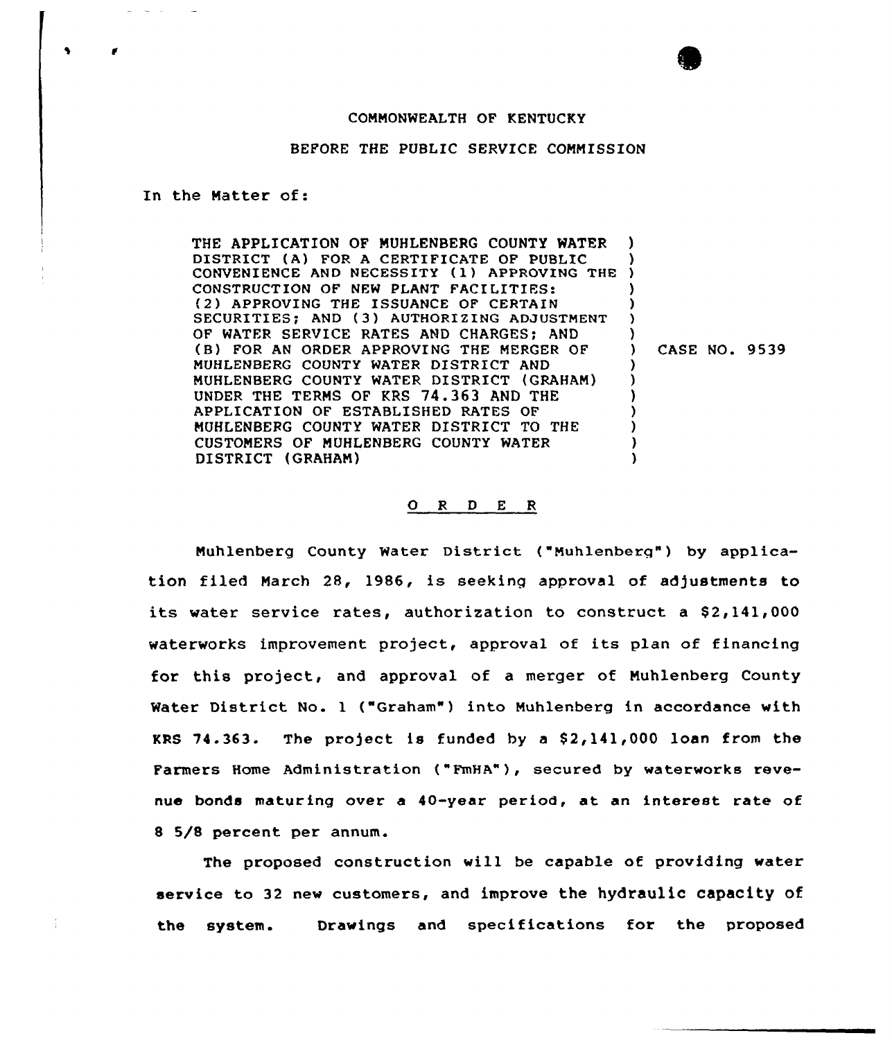# COMMONWEALTH OF KENTUCKY

#### BEFORE THE PUBLIC SERVICE COMMISSION

In the Matter of:

 $\mathbf{r}$ 

 $\blacklozenge$ 

THE APPLICATION OF MUHLENBERG COUNTY WATER DISTRICT (A) FOR A CERTIFICATE OF PUBLIC DISTRICT (A) FOR A CERTIFICATE OF PUBLIC )<br>CONVENIENCE AND NECESSITY (1) APPROVING THE ) CONSTRUCTION OF NEW PIANT FACILITIES: {2) APPROVING THE ISSUANCE OF CERTAIN SECURITIES; AND (3) AUTHORIZING ADJUSTMENT OF WATER SERVICE RATES AND CHARGES; AND (B) FOR AN ORDER APPROVING THE MERGER OF MUHLENBERG COUNTY WATER DISTRICT AND MUHLENBERG COUNTY WATER DISTRICT (GRAHAM) UNDER THE TERMS OF KRS 74.363 AND THE APPLICATION OF ESTABLISHED RATES OF MUHLENBERG COUNTY WATER DISTRICT TO THE CUSTOMERS OF MUHLENBERG COUNTY WATER DISTRICT (GRAHAM) ) ) ) ) ) ) ) CASE NO. 9539 ) ) ) ) ) ) )

#### O R D E R

Muhlenberg County Water District ("Muhlenberg") by application filed March 28, 1986, is seeking approval of adjustments to its water service rates, authorization to construct a \$2,141,000 waterworks improvement project, approval of its plan of financing for this project, and approval of a merger of Muhlenberg County Water District No. 1 ("Graham") into Muhlenberg in accordance with KRS 74.363. The project is funded by <sup>a</sup> S2,141,000 loan from the Farmers Home Administration ("FmHA"), secured by waterworks revenue bonds maturing over a 40-year period, at an interest rate of 8 5/8 percent per annum.

The proposed construction will be capable of providing water service to 32 new customers, and improve the hydraulic capacity of the system. Drawings and specifications for the proposed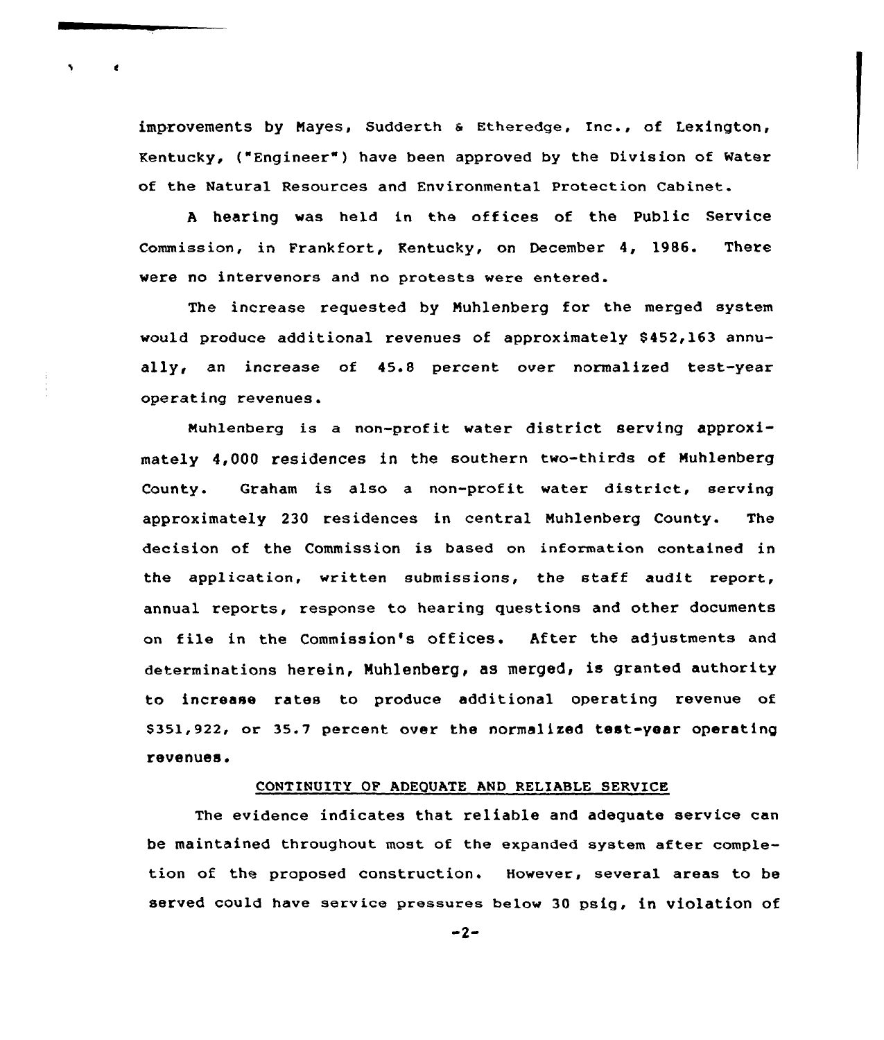improvements by Nayes, Sudderth <sup>a</sup> Etheredge, Inc., of Lexington, Kentucky, ("Engineer" ) have been approved by the Division of Water of the Natural Resources and Environmental Protection Cabinet.

<sup>A</sup> hearing was held in the offices of the Public Service Commission, in Frankfort, Kentucky, on December 4, 19S6. There were no intervenors and no protests were entered.

The increase requested by Nuhlenberg for the merged system would produce additional revenues of approximately \$452,163 annually, an increase of 45.8 percent over normalized test-year operating revenues.

Nuhlenberg is a non-profit water district serving approximately 4,000 residences in the southern two-thirds of Nuhlenberg County. Graham is also a non-profit water district, serving approximately 230 residences in central Muhlenberg County. The decision of the Commission is based on information contained in the application, written submissions, the staff audit report, annual reports, response to hearing questions and other documents on file in the Commission's offices. After the adjustments and determinations herein, Muhlenberg, as merged, is granted authority to increase rates to produce additional operating revenue of 8351,922, or 35.7 percent over the normalized test-year operating revenues.

# CONTINUITY OF ADEQUATE AND RELIABLE SERVICE

The evidence indicates that reliable and adequate service can be maintained throughout most of the expanded system after completion of the proposed construction. However, several areas to be served could have service presaurea below 30 psig, in violation of

-2-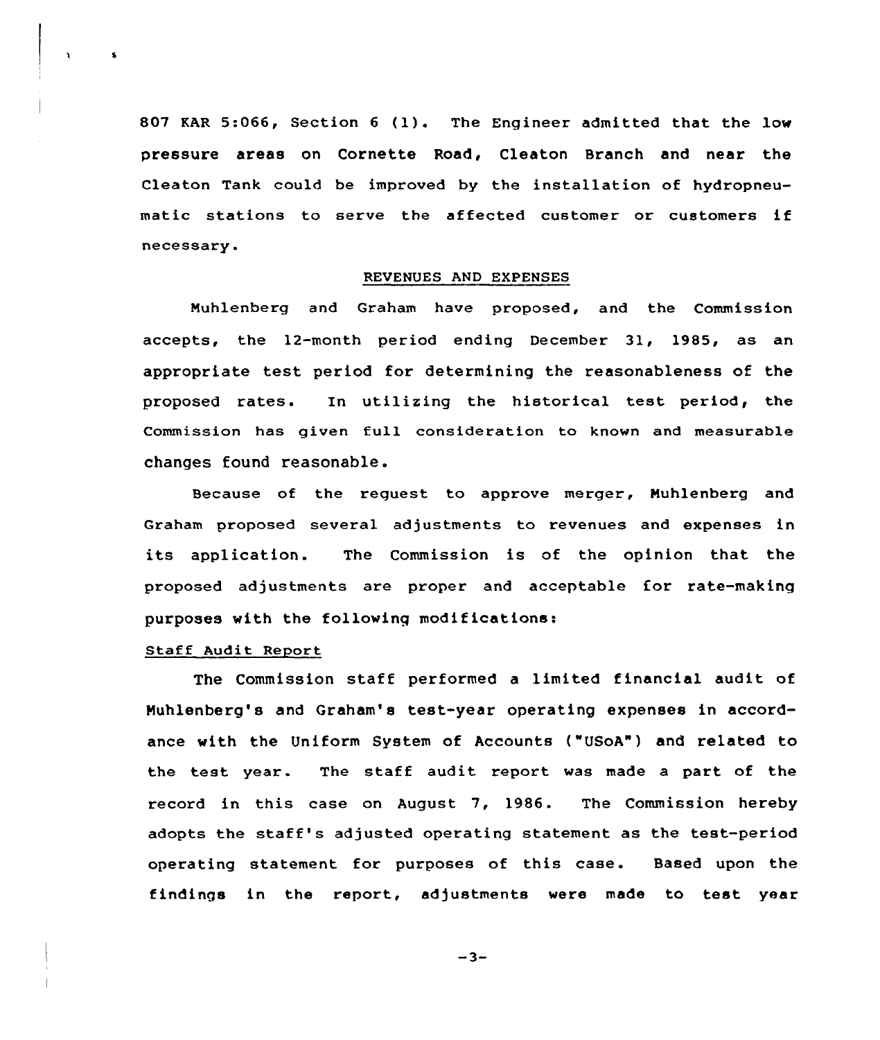<sup>807</sup> KAR 5:066, Section <sup>6</sup> (1). The Engineer admitted that the low pressure areas on Cornette Road, Cleaton Branch and near the Cleaton Tank could be improved by the installation of hydropneumatic stations to serve the affected customer or customers if necessary.

### REVENUES AND EXPENSES

Muhlenberg and Graham have proposed, and the Commission accepts, the 12-month period ending December 31, 1985, as an appropriate test period for determining the reasonableness of the proposed rates. In utilizing the historical test period, the Commission has given full consideration to known and measurable changes found reasonable .

Because of the reguest to approve merger, Muhlenberg and Graham proposed several adjustments to revenues and expenses in its application. The Commission is of the opinion that the proposed adjustments are proper and acceptable for rate-making purposes with the following modifications:

# Staff Audit Report

 $\boldsymbol{\mathsf{s}}$ 

The Commission staff performed <sup>a</sup> limited financial audit of Muhlenberg's and Graham's test-year operating expenses in accordance with the Uniform System of Accounts ("USoA") and related to the test year. The staff audit report was made a part of the record in this case on August 7, 1986. The Commission hereby adopts the staff's adjusted operating statement as the test-period operating statement for purposes of this case. Based upon the findings in the report, adjustments were made to test year

 $-3-$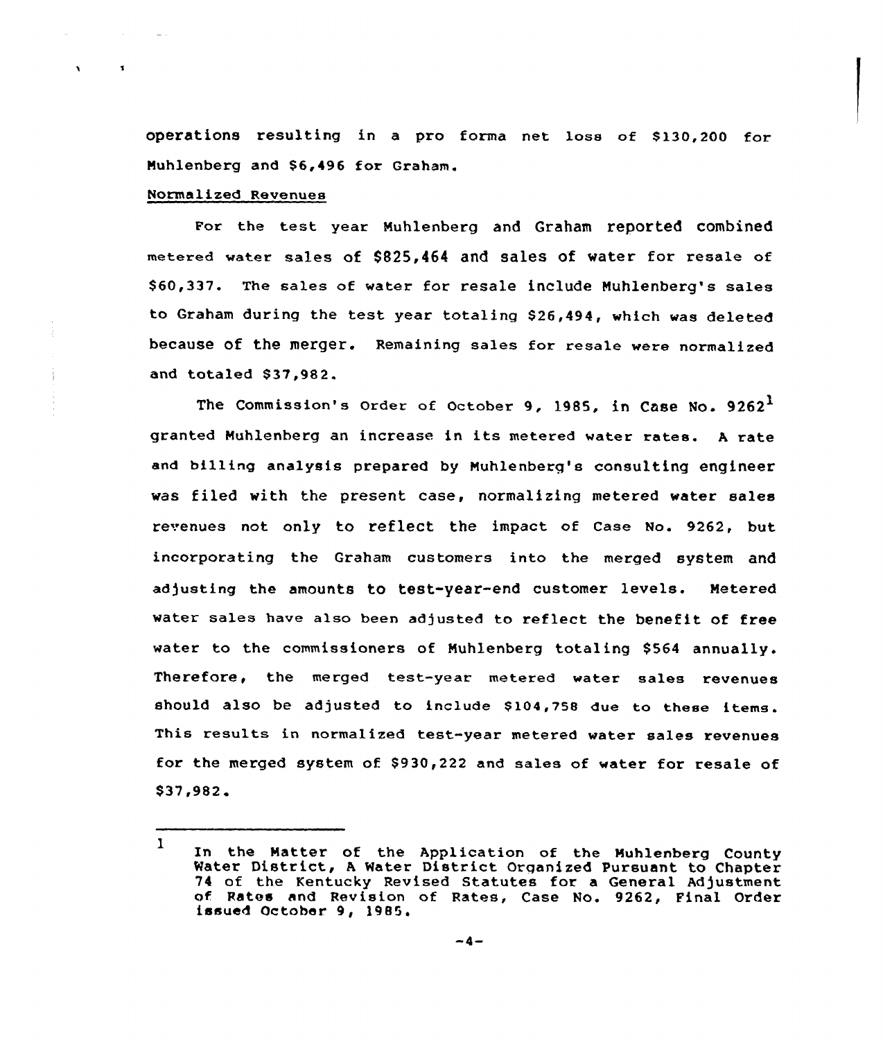operations resulting in a pro forma net loss of \$130,200 for Muhlenberg and \$6,496 for Graham.

# Normalized Revenues

 $\mathbf{A}$ 

Fox the test year Muhlenberg and Graham reported combined metered water sales of \$825,464 and sales of water for resale of \$ 60,337. The sales of water for resale include Muhlenberg's sales to Graham during the test year totaling S26,494, which was deleted because of the merger. Remaining sales for resale were normalized and totaled \$37.982.

The Commission's Order of October 9, 1985, in Case No.  $9262<sup>1</sup>$ granted Muhlenberg an increase in its metered water rates. <sup>A</sup> rate and billing analysis prepared by Muhlenberg's consulting engineer was filed with the present case, normalizing metered water sales revenues not only to reflect the impact of Case No. 9262, but incorporating the Graham customers into the merged system and adjusting the amounts to test-year-end customer levels. Metered water sales have also been adjusted to reflect the benefit of free water to the commissioners of Muhlenberg totaling \$564 annually. Therefore, the merged test-year metered water sales revenues should also be adjusted to include \$104,758 due to these items. This results in normalized test-year metered water sales revenues for the merged system of \$930,222 and sales of water for resale of \$37,982.

<sup>1</sup> In the Matter of the Application of the Muhlenberg County Water District, A Water District Organized Pursuant to Chapte 74 of the Kentucky Revised Statutes for a General Adjustment of Rates and Revision of Rates, Case No. 9262, Final Order issued October 9, 1985.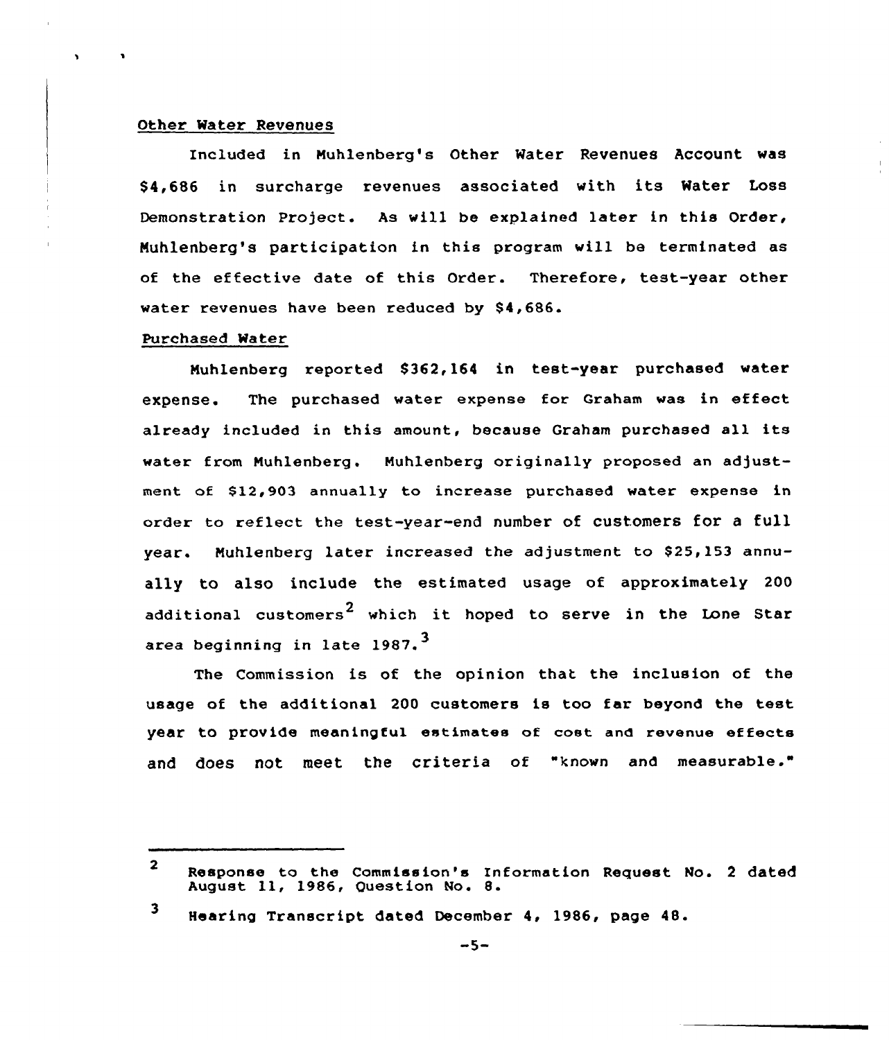### Other Water Revenues

Included in Nuhlenberg's Other Water Revenues Account was \$ 4,686 in surcharge revenues associated with its Water Loss Demonstration Project. As vill be explained later in this Order, Nuhlenberg's participation in this program will be terminated as of the eftective date of this Order. Therefore, test-year other water revenues have been reduced by \$4,686.

# Purchased Water

Muhlenberg reported \$362,164 in test-year purchased water expense. The purchased vater expense for Graham vas in effect already included in this amount, because Graham purchased all its water from Muhlenberg. Muhlenberg originally proposed an adjustment of \$12,903 annually to increase purchased water expense in order to reflect the test-year-end number of customers for a full year. Muhlenberg later increased the adjustment to \$25,153 annually to also include the estimated usage of approximately 200 additional customers<sup>2</sup> which it hoped to serve in the Lone Star area beginning in late 1987. $^3$ 

The Commission is of the opinion that the inclusion of the usage of the additional 200 customers is too far beyond the test year to provide meaningful estimates of cost and revenue effects and does not meet the criteria of "known and measurable."

 $\overline{2}$ Response to the Commission's Information Request No. <sup>2</sup> dated August ll, 1986, Question No. 8.

<sup>3</sup> Nearing Transcript dated December 4, 1986, page 48.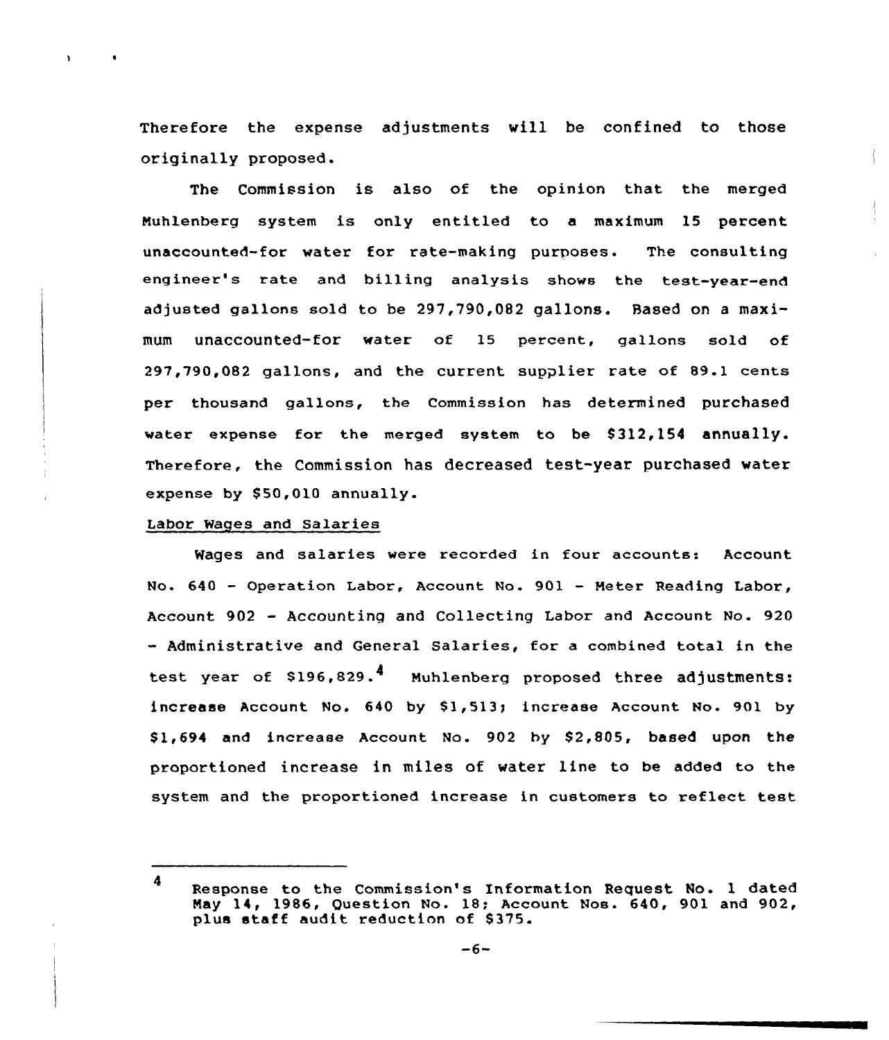Therefore the expense adjustments vill be confined to those originally proposed.

The Commission is also of the opinion that the merged Nuhlenberg system is only entitled to a maximum 15 percent unaccounted-for water for rate-making purposes. The consulting engineer's rate and billing analysis shows the test-year-end adjusted gallons sold to be 297,790,082 gallons. Based on a maximum unaccounted-for water of 15 percent, gallons sold of 297,790,082 gallons, and the current supplier rate of 89.1 cents per thousand gallons, the Commission has determined purchased water expense for the merged system to be  $$312,154$  annually. Therefore, the Commission has decreased test-year purchased vater expense by \$50,010 annually.

### Labor Wages and Salaries

Wages and salaries were recorded in four accounts: Account No. 640 — Operation Labor, Account No. 901 — Neter Reading Labor, Account 902 — Accountinq and Collecting Labor and Account No. 920 — Administrative and General Salaries, for a combined total in the test year of \$196,829.<sup>4</sup> Muhlenberg proposed three adjustments: increase Account No. 640 by \$1,513; increase Account No. 901 by \$1,694 and increase Account No.  $902$  by \$2,805, based upon the proportioned increase in miles of water line to be added to the system and the proportioned increase in customers to reflect test

<sup>4</sup> Response to the Commission's Information Request No. 1 dated Nay 14, 1986, Question No. 18; Account Nos. 640, 901 and 902, plus staff audit reduction of \$375.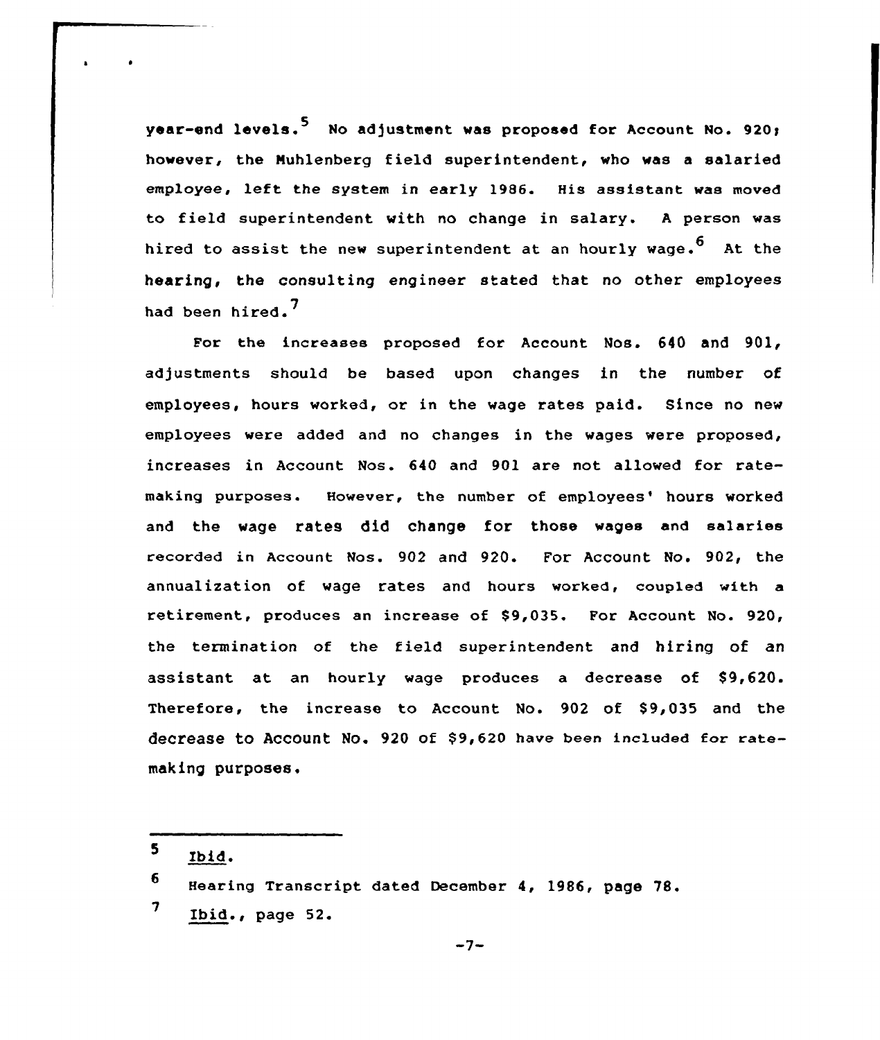**vear-end levels.**<sup>5</sup> No adjustment was proposed for Account No. 920: however, the Muhlenberg field superintendent, who was a salaried employee, left the system in early 1986. His assistant was moved to field superintendent with no change in salary. <sup>A</sup> person was hired to assist the new superintendent at an hourly wage.<sup>6</sup> At the hearing, the consulting engineer stated that no other employees had been hired.<sup>7</sup>

For the increases proposed for Account Mos. 640 and 901, adjustments should be based upon changes in the number of employees, hours worked, or in the vage rates paid. Since no nev employees vere added and no changes in the vages vere proposed, increases in Account Nos. 640 and 901 are not allowed for ratemaking purposes. However, the number of employees' hours worked and the wage rates did change for those wages and salaries recorded in Account Nos. 902 and 920. For Account No. 902, the annualization of wage rates and hours worked, coupled with a retirement, produces an increase of \$9,035. For Account No. 920, the termination of the field superintendent and hiring of an assistant at an hourly wage produces a decrease of \$9,620. Therefore, the increase to Account No. 902 of \$9,035 and the decrease to Account No. 920 of \$9,620 have been included for ratemaking purposes.

 $5<sub>1</sub>$ Ibid.

<sup>6</sup> Hearing Transcript dated December 4, 1986, page 78. 7 Ibid., page 52.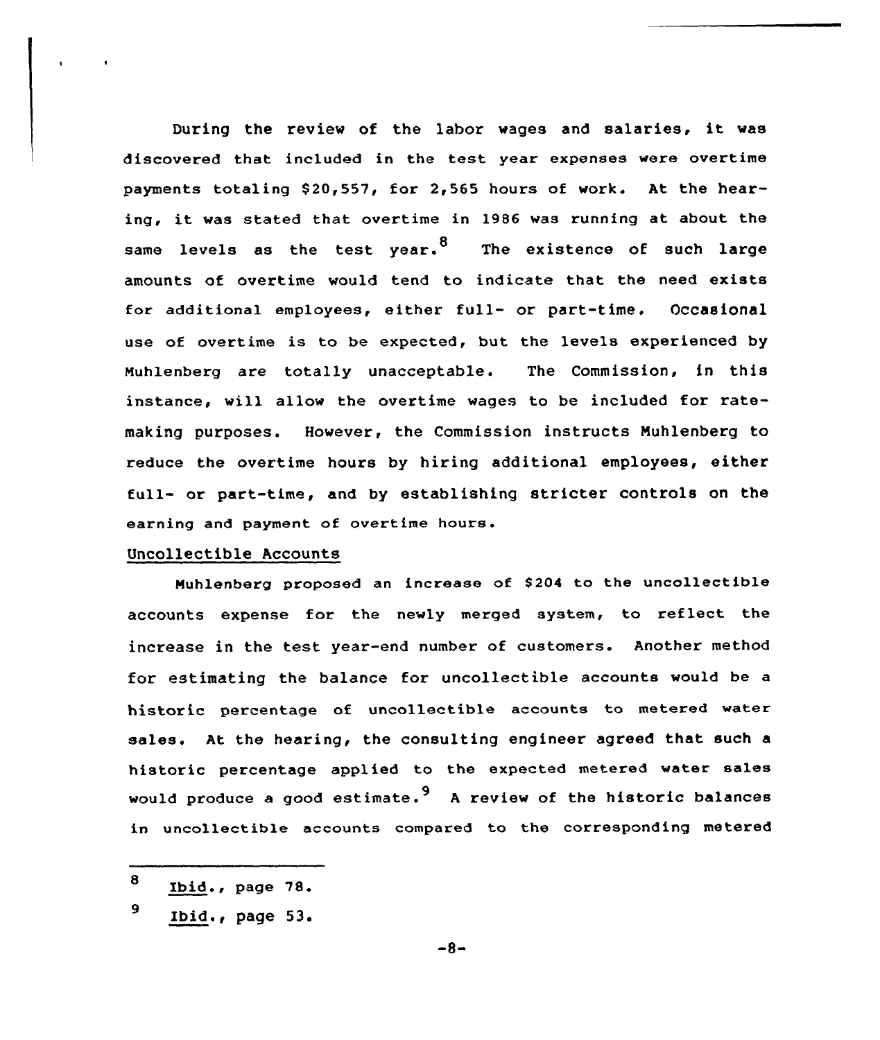During the review of the labor wages and salaries, it was discovered that included in the test year expenses were overtime payments totaling \$20,557, for 2,565 hours of work. At the hearing, it was stated that overtime in <sup>1986</sup> was running at about the same levels as the test year.<sup>8</sup> The existence of such large amounts of overtime would tend to indicate that the need exists for additional employees, either full- or part-time. Occasional use of overtime is to be expected, but the levels experienced by Muhlenberg are totally unacceptable. The Commission, in this instance, will allow the overtime wages to be included for ratemaking purposes. However, the Commission instructs Muhlenberg to reduce the overtime hours by hiring additional employees, either full- or part-time, and by establishing stricter controls on the earning and payment of overtime hours.

# Uncollectible Accounts

Nuhlenberg proposed an increase of S204 to the uncollectible accounts expense for the newly merged system, to reflect the increase in the test year-end number of customers. Another method for estimating the balance for uncollectible accounts would be a historic percentage of uncollectible accounts to metered water sales. At the hearing, the consulting engineer agreed that such a historic percentage applied to the expected metered water sales would produce a good estimate.<sup>9</sup> A review of the historic balances in uncollectible accounts compared to the corresponding metered

<sup>8</sup> Ibid., page 78.

<sup>9</sup> Ibid., page 53.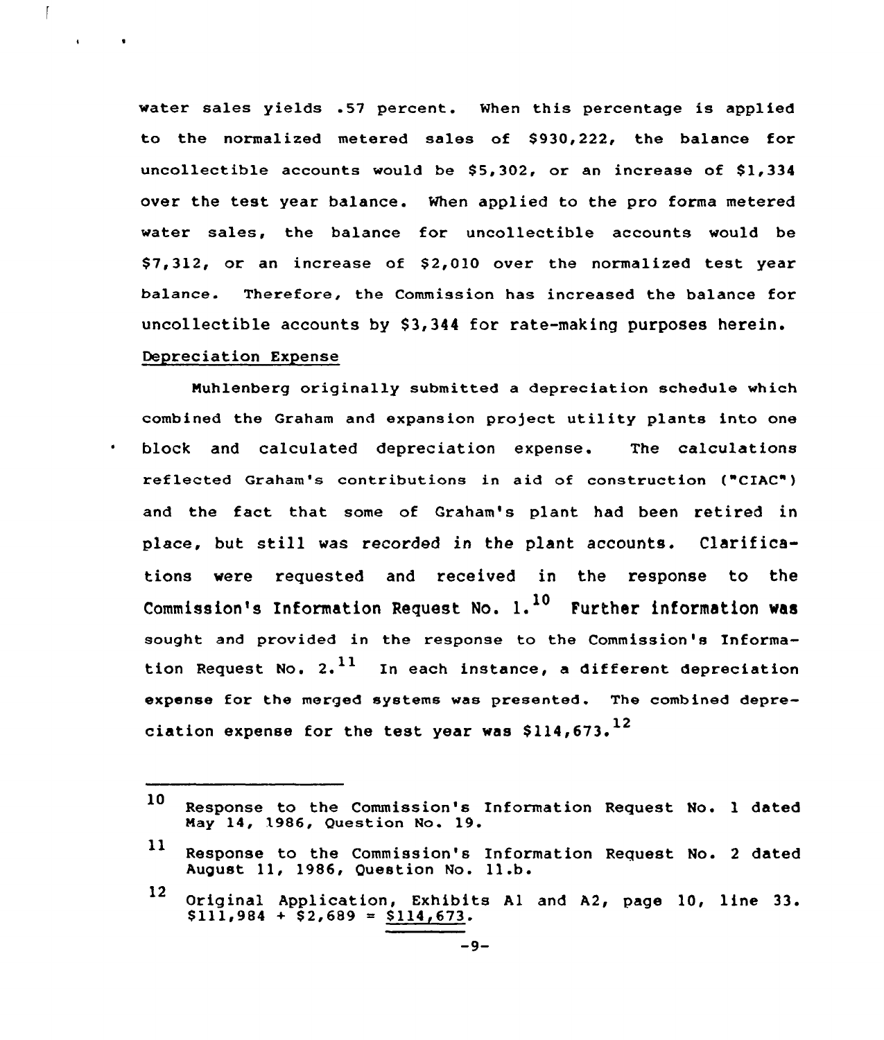water sales yields .57 percent. When this percentage is applied to the normalized metered sales of \$930,222, the balance for uncollectible accounts would be  $$5,302$ , or an increase of  $$1,334$ over the test year balance. When applied to the pro forma metered water sales, the balance for uncollectible accounts would be  $$7,312$ , or an increase of  $$2,010$  over the normalized test year balance. Therefore, the Commission has increased the balance for uncollectible accounts by \$3,344 for rate-making purposes herein. Depreciation Expense

 $\overline{1}$ 

 $\mathbf{A}^{\mathrm{H}}$  and  $\mathbf{A}^{\mathrm{H}}$ 

 $\sim$  100  $\pm$ 

 $\bullet$ 

Nuhlenberg originally submitted a depreciation schedule which combined the Graham and expansion project utility plants into one block and calculated depreciation expense. The calculations reflected Graham's contributions in aid of construction ("CIAC") and the fact that some of Graham's plant had been retired in place, but still was recorded in the plant accounts. Clarifications were requested and received in the response to the Commission's Information Request No.  $1.$ <sup>10</sup> Further information was sought and provided in the response to the Commission's Information Request No. 2.  $^{11}$  In each instance, a different depreciation expense for the merged systems was presented. The combined depreciation expense for the test year was  $$114.673.<sup>12</sup>$ 

<sup>10</sup> Response to the Commission's Information Request No. <sup>1</sup> dated May 14, 1986, Question No. 19.

ll Response to the Commission's Information Request No. <sup>2</sup> dated August ll, 1986, Question No. 1l.b.

<sup>12</sup> Original Application, Exhibits Al and A2, page 10, line 33.  $$111,984 + $2,689 = $114,673.$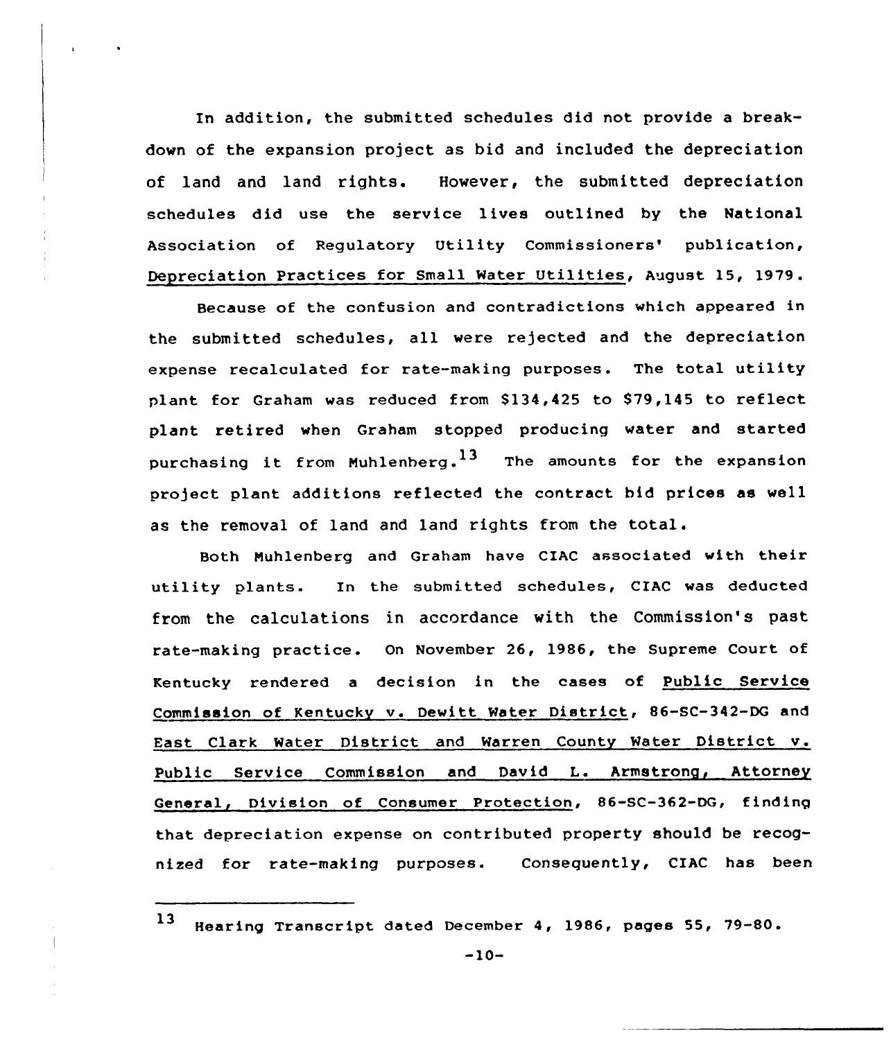In addition, the submitted schedules did not provide a breakdown of the expansion project as bid and included the depreciation of land and land rights. However, the submitted depreciation schedules did use the service lives outlined by the National Association of Regulatory Utility Commissioners' publication, Depreciation Practices for Small Water Utilities, August 15, <sup>1979</sup> .

Because of the confusion and contradictions which appeared in the submitted schedules, all were rejected and the depreciation expense recalculated for rate-making purposes. The total utility plant for Graham was reduced from \$134,425 to \$79,145 to reflect plant retired when Graham stopped producing water and started purchasing it from Muhlenberg.<sup>13</sup> The amounts for the expansion project plant additions reflected the contract bid prices as well as the removal of land and land rights fram the total.

Both Nuhlenberg and Graham have CIAC associated with their utility plants. In the submitted schedules, CIAC was deducted from the calculations in accordance with the Commission's past rate-making practice. On November 26, 1986, the Supreme Court of Kentucky rendered a decision in the cases of Public Service Commission of Kentucky v. Dewitt Water District, 86-SC-342-DG and East Clark Water District and Warren County Water District v. Public Service Commission and David L. Armstrong, Attorney General, Division of Consumer Protection, 86-SC-362-DG, finding that depreciation expense on contributed property should be recognized for rate-making purposes. Consequently, CIAC has been

<sup>13</sup> Hearing Transcript dated December 4, 1986, pages 55, 79-80.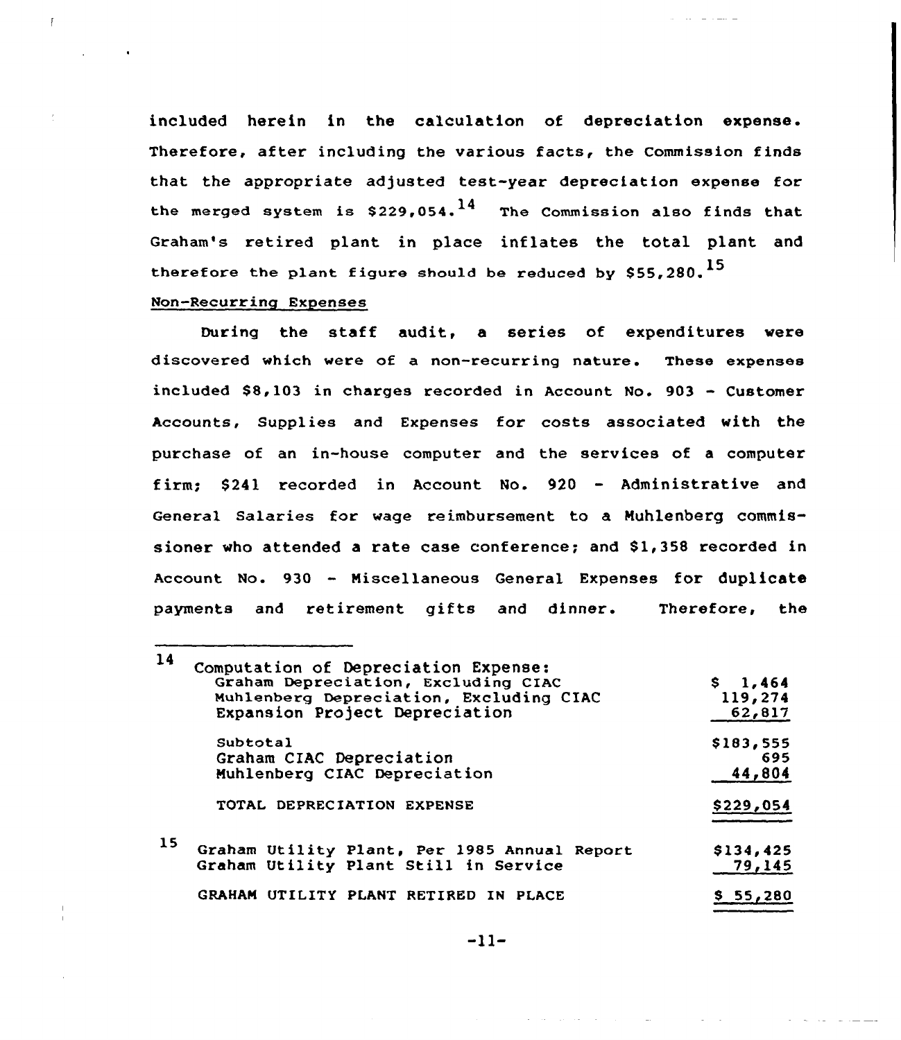included herein in the calculation of depreciation expense. Therefore, after including the various facts, the Commission finds that the appropriate adjusted test-year depreciation expense for the merged system is  $$229,054$ .<sup>14</sup> The Commission also finds that Graham's retired plant in place inflates the total plant and therefore the plant figure should be reduced by  $$55,280.<sup>15</sup>$ 

# Non-Recurring Expenses

 $\overline{1}$ 

During the staff audit, a series of expenditures vere discovered which vere of a non-recurring nature. These expenses included  $$8,103$  in charges recorded in Account No.  $903 -$  Customer Accounts, Supplies and Expenses for costs associated with the purchase of an in-house computer and the services of a computer firm; \$ 241 recorded in Account No. 920 — Administrative and General Salaries for wage reimbursement to a Nuhlenberg commissioner who attended a rate case conference; and \$1,358 recorded in Account No. 930 - Miscellaneous General Expenses for duplicate payments and retirement gifts and dinner. Therefore, the

| 14 | Computation of Depreciation Expense:<br>Graham Depreciation, Excluding CIAC<br>Muhlenberg Depreciation, Excluding CIAC<br>Expansion Project Depreciation | \$1,464<br>119,274<br>62,817 |  |
|----|----------------------------------------------------------------------------------------------------------------------------------------------------------|------------------------------|--|
|    | Subtotal<br>Graham CIAC Depreciation<br>Muhlenberg CIAC Depreciation                                                                                     | \$183,555<br>695<br>44,804   |  |
|    | TOTAL DEPRECIATION EXPENSE                                                                                                                               | \$229,054                    |  |
| 15 | Graham Utility Plant, Per 1985 Annual Report<br>Graham Utility Plant Still in Service                                                                    | \$134,425<br>79,145          |  |
|    | GRAHAM UTILITY PLANT RETIRED IN PLACE                                                                                                                    | \$55,280                     |  |

 $-11-$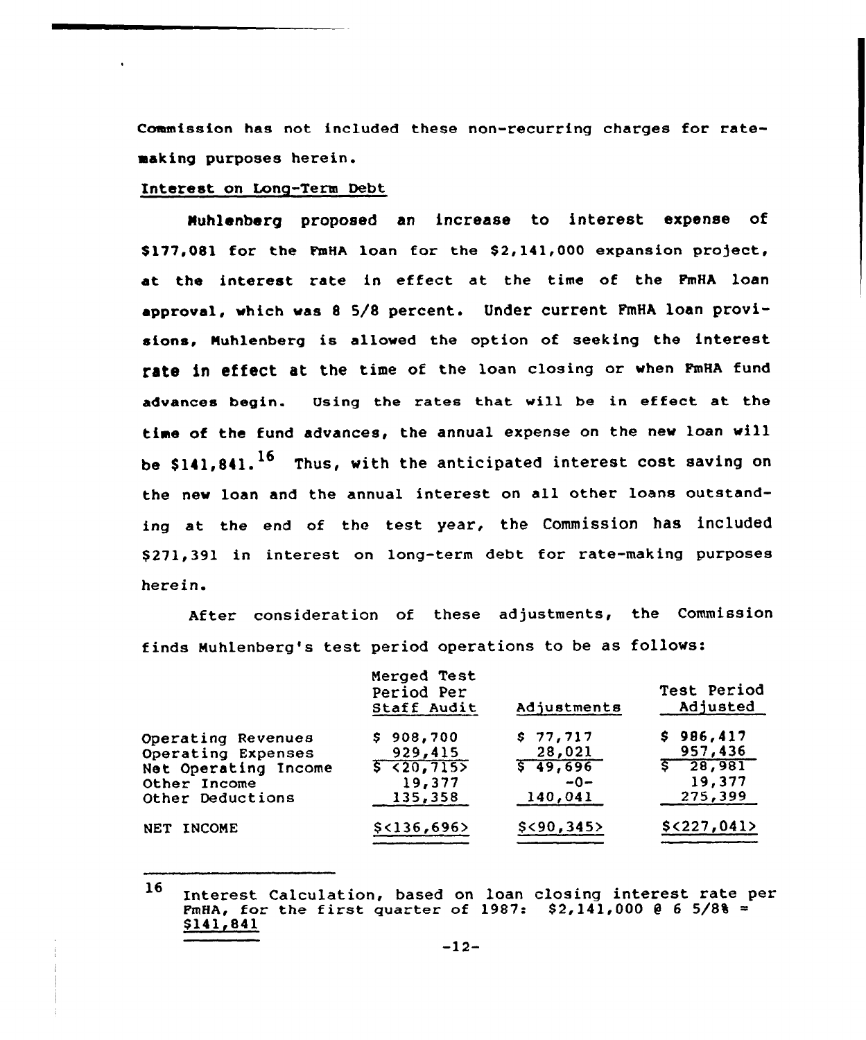Commission has not. included these non-recurring charges for ratemaking purposes herein.

# Interest on Long-Term Debt

Nuhlenbarg proposed an increase to interest expense of \$177,081 for the FmHA loan for the \$2,141,000 expansion project, at the interest rate in effect at the time of the FmHA loan approval, which was <sup>8</sup> 5/8 percent. Under current FmHA loan provisions, Huhlenberg is allowed the option of seeking the interest rate in effect at the time of the loan closing or when FmHA fund advances begin. Osing the rates that will be in effect at the time of the fund advances, the annual expense on the new loan will be  $$141.841$ .  $^{16}$  Thus, with the anticipated interest cost saving on the new loan and the annual interest on all other loans outstanding at the end of the test year, the Commission has included \$271,391 in interest on long-term debt for rate-making purposes herein.

After consideration of these adjustments, the Commission finds Nuhlenberg's test period operations to be as follows:

|                      | Merged Test<br>Period Per<br>Staff Audit | Adjustments | Test Period<br>Adjusted |
|----------------------|------------------------------------------|-------------|-------------------------|
| Operating Revenues   | \$908,700                                | \$77,717    | \$986,417               |
| Operating Expenses   | 929,415                                  | 28,021      | 957,436                 |
| Net Operating Income | $5 {20, 715}$                            | 5,49,696    | $\sqrt{5}$ 28,981       |
| Other Income         | 19,377                                   | $-0-$       | 19,377                  |
| Other Deductions     | 135,358                                  | 140,041     | 275,399                 |
| NET INCOME           | $$<$ 136,696>                            | \$<90,345>  | $$<$ 227,041>           |
|                      |                                          |             |                         |

<sup>16</sup> Interest Calculation, based on loan closing interest. rate per FmHA, for the first quarter of 1987:  $$2,141,000$  @ 6 5/8% = \$ 141,841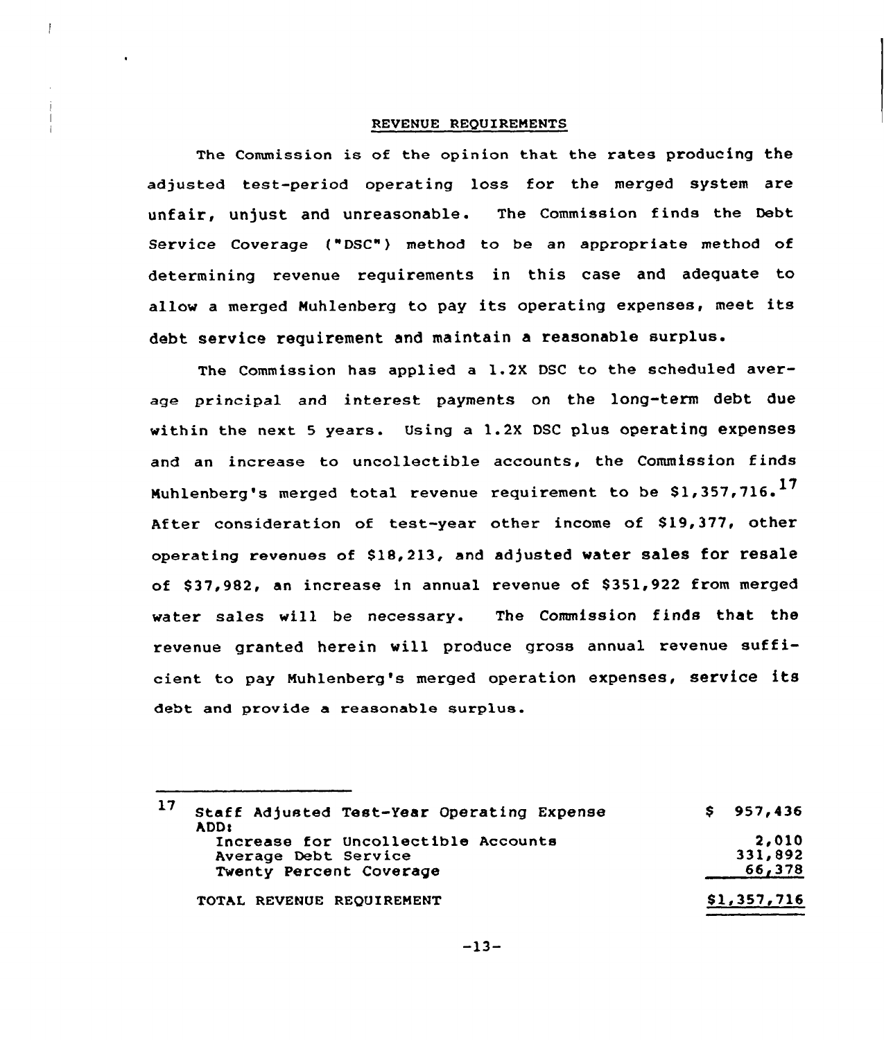# REVENUE REQUIREMENTS

The Commission is of the opinion that the rates producing the adjusted test-period operating loss for the merged system are unfair, unjust and unreasonable. The Commission finds the Debt Service Coverage ("DSC") method to be an appropriate method of determining revenue requirements in this case and adequate to allow <sup>a</sup> merged Muhlenberg to pay its operating expenses, meet its debt service requirement and maintain a reasonable surplus.

The Commission has applied a 1.2X DSC to the scheduled average principal and interest payments on the long-term debt due within the next 5 years. Using a 1.2X DSC plus operating expenses and an increase to uncollectible accounts, the Commission finds Muhlenberg's merged total revenue requirement to be \$1,357,716.<sup>17</sup> After consideration of test-year other income of \$19,377, other operating revenues of \$18,213, and adjusted water sales for resale of \$37,982, an increase in annual revenue of \$351,922 from merged water sales will be necessary. The Commission finds that the revenue granted herein vill produce gross annual revenue sufficient to pay Nuhlenberg's merged operation expenses, service its debt and provide a reasonable surplua.

| 17<br>Staff Adjusted Test-Year Operating Expense<br>ADD:                               | \$957,436                  |
|----------------------------------------------------------------------------------------|----------------------------|
| Increase for Uncollectible Accounts<br>Average Debt Service<br>Twenty Percent Coverage | 2,010<br>331,892<br>66,378 |
| TOTAL REVENUE REQUIREMENT                                                              | \$1,357,716                |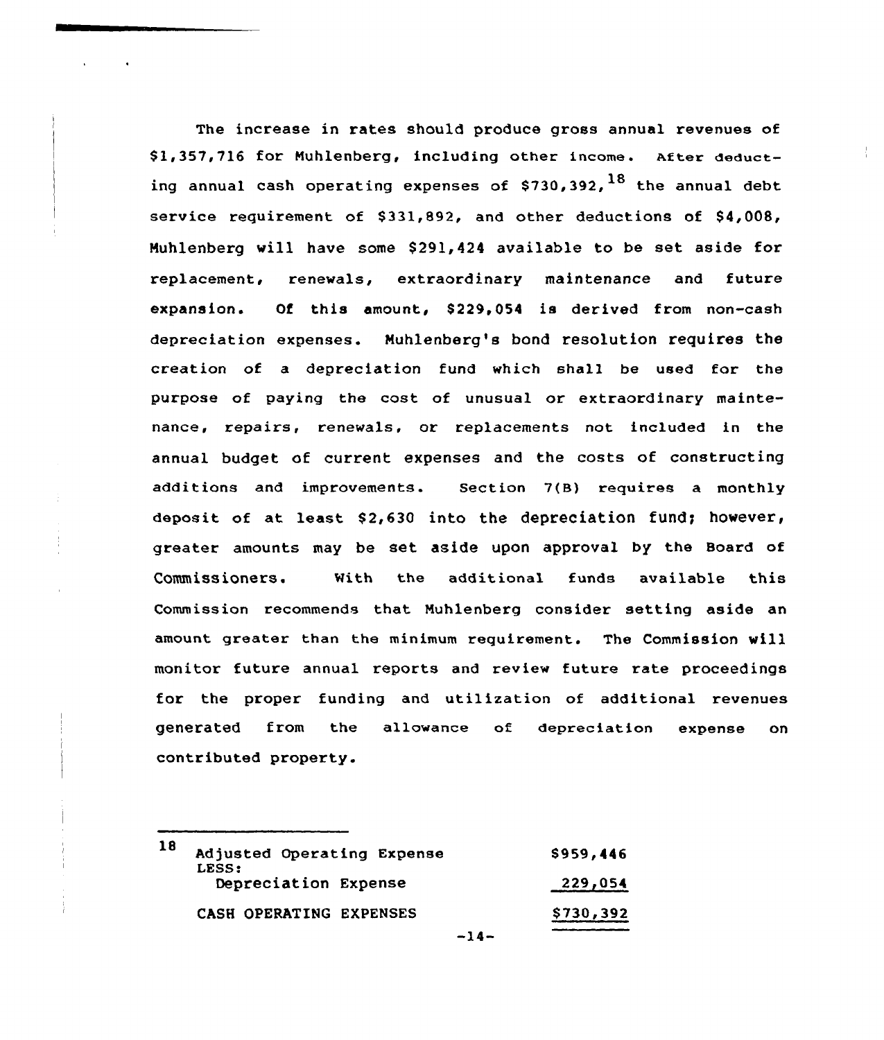The increase in rates should produce gross annual revenues of \$ 1,357,716 for Muhlenberg, including other income. after deducting annual cash operating expenses of  $$730,392$ ,  $^{18}$  the annual debt service requirement of  $$331.892$ , and other deductions of  $$4.008$ , Muhlenberg will have some \$291,424 available to be set aside for replacement, renewals, extraordinary maintenance and future expansion. Of this amount, \$229,054 is derived from non-cash depreciation expenses. Muhlenberg's bond resolution requires the creation of a depreciation fund which shall be used for the purpose of paying the cost of unusual or extraordinary maintenance, repairs, renewals, or replacements not included in the annual budget of current expenses and the costs of constructing additions and improvements. Section 7(B) requires a monthly deposit of at least  $$2,630$  into the depreciation fund; however, greater amounts may be set. aside upon approval by the Board of Commissioners. With the additional funds available this Commission recommends that Muhlenberg consider setting aside an amount greater than the minimum requirement. The Commission vill monitor future annual reports and review future rate proceedings for the proper funding and utilization of additional revenues generated from the allowance of depreciation expense on contributed property.

| 18<br>LESS: | Adjusted Operating Expense | \$959,446 |
|-------------|----------------------------|-----------|
|             | Depreciation Expense       | 229,054   |
|             | CASH OPERATING EXPENSES    | \$730,392 |
|             | $-14-$                     |           |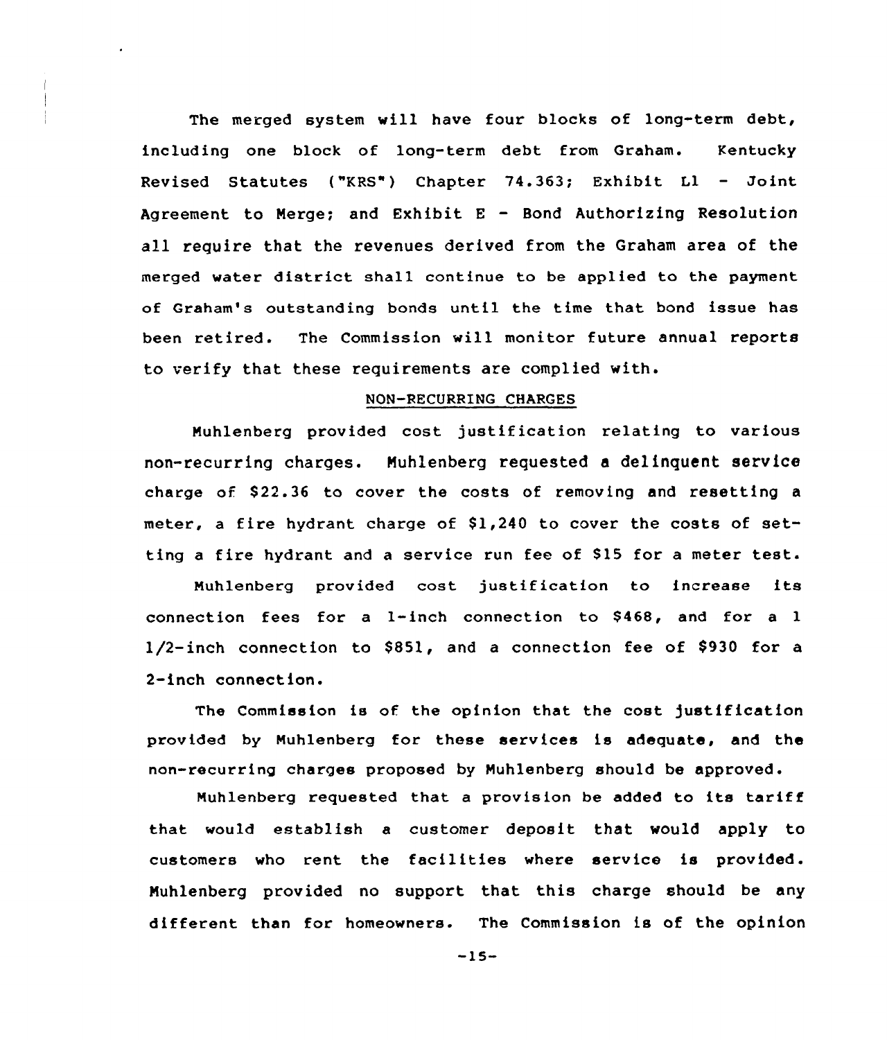The merged system will have four blocks of long-term debt, including one block of long-term debt from Graham. Kentucky Revised Statutes ("KRS") Chapter 74.363; Exhibit Ll — Joint Agreement to Nerge; and Exhibit <sup>E</sup> — Bond Authorizing Resolution all require that the revenues derived from the Graham area of the merged water district shall continue to be applied to the payment of Graham's outstanding bonds until the time that bond issue has been retired. The Commission will monitor future annual reports to verify that these requirements are complied with.

# NQN-RECURRING CHARGES

Nuhlenberg provided cost justification relating to various non-recurring charges. Nuhlenberg requested a delinquent service charge of \$22.36 to cover the costs of removing and resetting a meter, a fire hydrant charge of  $$1,240$  to cover the costs of setting a fire hydrant and a service run fee of \$15 for a meter test.

Muhlenberg provided cost justification to increase its connection fees for a 1-inch connection to  $$468$ , and for a 1  $1/2$ -inch connection to \$851, and a connection fee of \$930 for a 2-inch connection.

The Commission is of the opinion that the cost justification provided by Muhlenberg for these services is adequate, and the non-recurring charges proposed by Muhlenberg should be approved.

Muhlenberg requested that <sup>a</sup> provision be added to its tariff that would establish a customer deposit that would apply to customers who rent the facilities where service is provided. Nuhlenberg provided no support that this charge should be any different than for homeowners. The Commission is of the opinion

-15-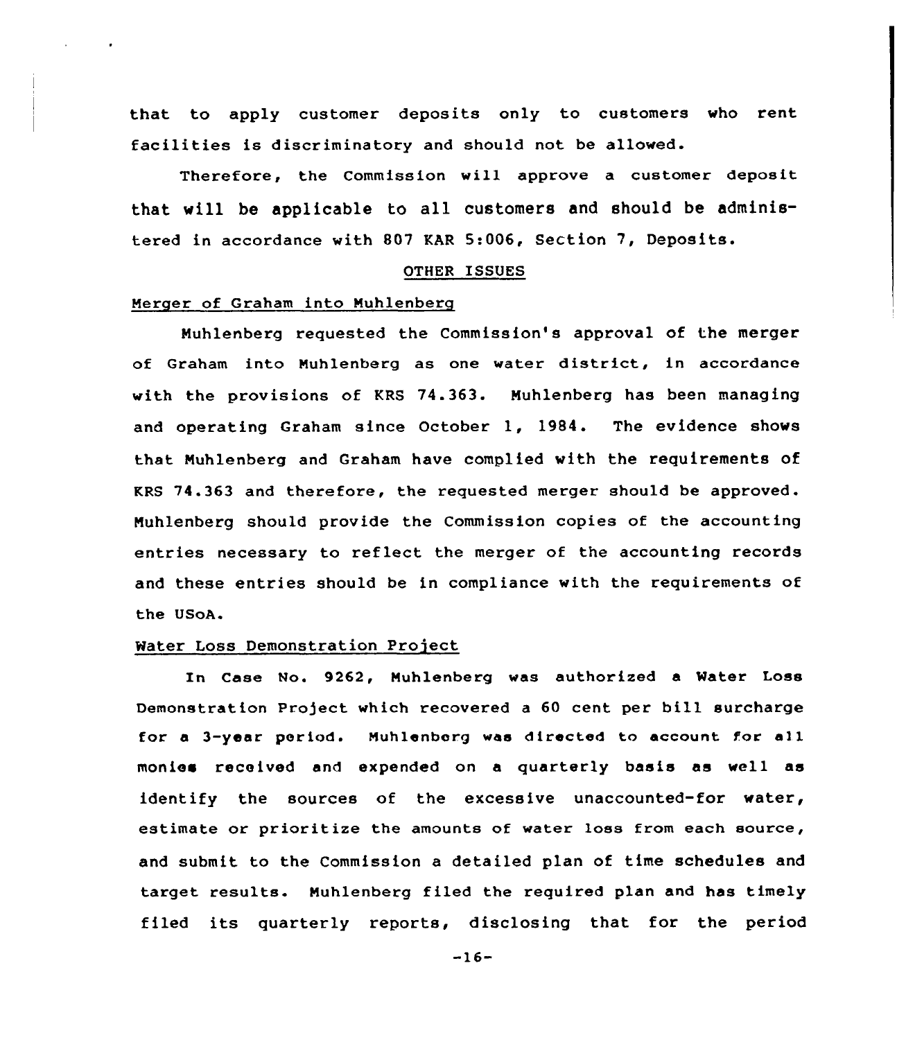that to apply customer deposits only to customers who rent facilities is discriminatory and should not be allowed.

Therefore, the Commission will approve a customer deposit that will be applicable to all customers and should be administered in accordance with 807 KAR 5:006, Section 7, Deposits.

#### OTHER ISSUES

# Merger of Graham into Nuhlenberg

Muhlenberg requested the Commission's approval of the merger of Graham into Nuhlenberg as one water district, in accordance with the provisions of KRS 74.363. Muhlenberg has been managing and operating Graham since October 1, 1984. The evidence shows that Muhlenberg and Graham have complied with the requirements of KRS 74.363 and therefore, the requested merger should be approved. Nuhlenberg should provide the Commission copies of the accounting entries necessary to reflect the merger of the accounting records and these entries should be in compliance with the requirements of the USoA.

### Water Loss Demonstration Project

In Case No. 9262, Muhlenberg was authorized a Water Loss Demonstration Project which recovered <sup>a</sup> 60 cent per bill surcharge for a 3-year period. Muhlenborg was directed to account for all monies received and expended on a quarterly basis as well as identify the sources of the excessive unaccounted-for water, estimate or prioritize the amounts of water loss from each source, and submit to the Commission a detailed plan of time schedules and target results. Nuhlenberg filed the required plan and has timely filed its quarterly reports, disclosing that for the period

 $-16-$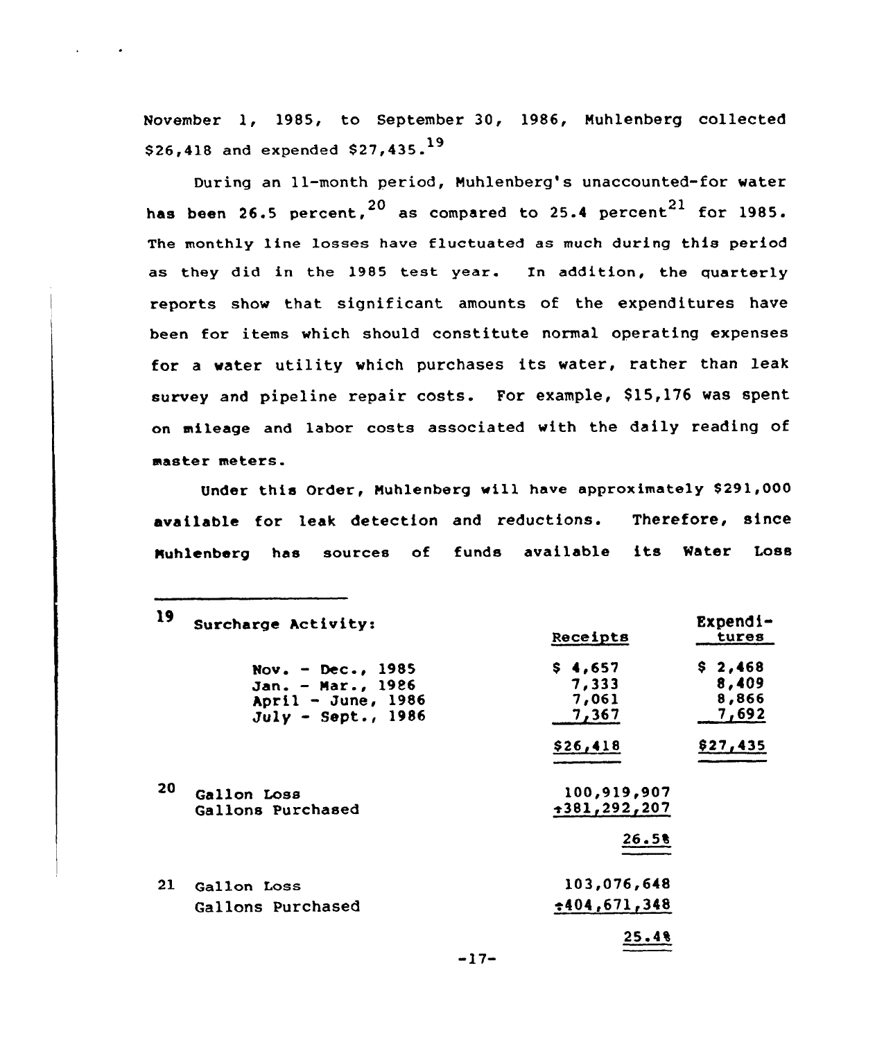November 1, 1985, to September 30, 1986, Nuhlenberg collected \$26,418 and expended \$27,435.19

 $\mathbf{A}$ 

During an 11-month period, Nuhlenberg's unaccounted-for water has been 26.5 percent,  $20$  as compared to 25.4 percent  $21$  for 1985. The monthly line losses have fluctuated as much during this period as they did in the 1985 test year. In addition, the quarterly reports show that significant amounts of the expenditures have been for items which should constitute normal operating expenses for <sup>a</sup> water utility which purchases its water, rather than leak survey and pipeline repair costs. For example, \$15,176 was spent on mileage and labor costs associated with the daily reading of master meters.

Under this Order, Nuhlenberg will have approximately \$291,000 available for leak detection and reductions. Therefore, since Nuhlenberg has sources of funds available its Water Loss

| 19 | Surcharge Activity:                                                                       | Receipts                           | $Expend1-$<br>tures                |
|----|-------------------------------------------------------------------------------------------|------------------------------------|------------------------------------|
|    | Nov. - Dec., $1985$<br>Jan. - Mar., 1986<br>April - June, $1986$<br>$July - Sept. , 1986$ | \$4,657<br>7,333<br>7,061<br>7,367 | \$2,468<br>8,409<br>8,866<br>7,692 |
|    |                                                                                           | \$26,418                           | \$27,435                           |
| 20 | Gallon Loss<br>Gallons Purchased                                                          | 100,919,907<br>$+381, 292, 207$    |                                    |
|    |                                                                                           | 26.5%                              |                                    |
| 21 | Gallon Loss<br>Gallons Purchased                                                          | 103,076,648<br>$+404,671,348$      |                                    |
|    |                                                                                           | 25.48                              |                                    |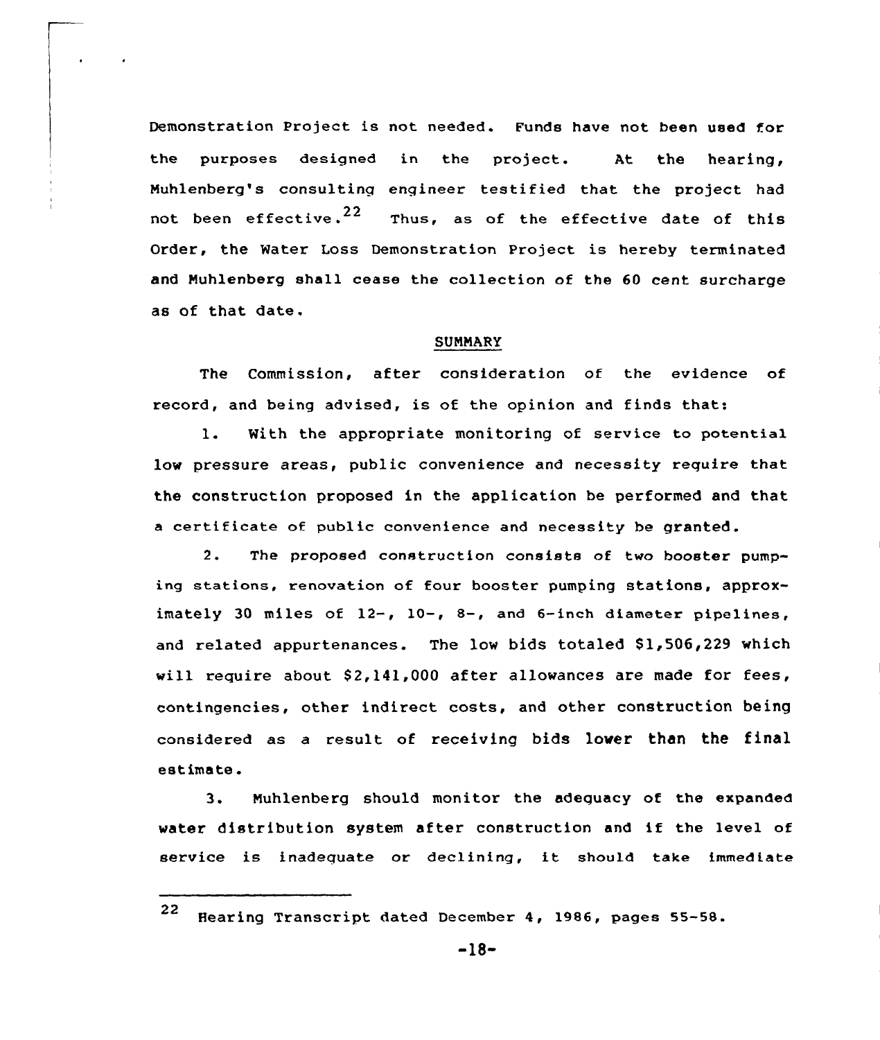Demonstration Project is not needed. Funda have not been used for the purposes designed in the project. At the hearing, Muhlenberg's consulting engineer testified that the project had not been effective.<sup>22</sup> Thus, as of the effective date of this Order, the Water Loss Demonstration Project is hereby terminated and Muhlenberg shall cease the collection of the 60 cent surcharge as of that date.

### SUMMARY

The Commission, after consideration of the evidence of record, and being advised, is of the opinion and finds that:

1. With the appropriate monitoring of service to potential low pressure areas, public convenience and necessity require that the construction proposed in the application be performed and that <sup>a</sup> certificate of public convenience and necessity be granted.

2. The proposed construction consists of two booster pumping stations, renovation of four booster pumping stations, approximately <sup>30</sup> miles of 12-, 10-, 8-, and 6-inch diameter pipelines, and related appurtenances. The low bids totaled \$1,506,229 which will require about \$2,141,000 after allowances are made for fees, contingencies, other indirect costs, and other construction being considered as a result of receiving bids lover than the final estimate.

3. Nuhlenberg should monitor the adequacy of the expanded water distribution system after construction and if the level of service is inadequate or declining, it should take immediate

<sup>22</sup> Hearing Transcript dated December 4, 1986, pages 55-58.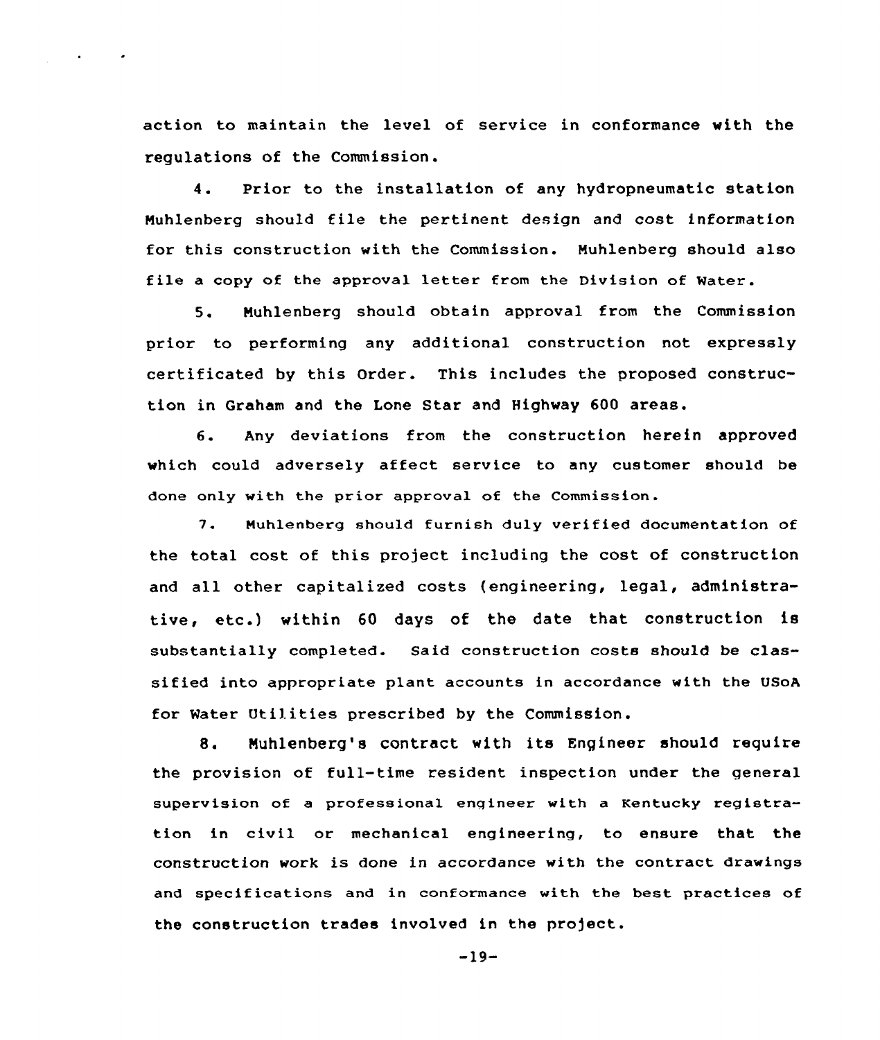action to maintain the level of service in conformance with the regulations of the Commission.

4. Prior to the installation of any hydropneumatic station Muhlenberg should file the pertinent design and cost information for this construction with the Commission. Muhlenberg should also file a copy of the approval letter from the Division of Water.

5. Muhlenberg should obtain approval from the Commission prior to performing any additional construction not expressly certificated by this Order. This includes the proposed construction in Graham and the Lone Star and Highway 600 areas.

6. Any deviations from the construction herein approved which could adversely affect service to any customer should be done only with the prior approval of the Commission.

7. Muhlenberg should furnish duly verified documentation of the total cost of this project including the cost of construction and all other capitalized costs (engineering, legal, administrative, etc.} within <sup>60</sup> days of the date that construction is substantially completed. Said construction costs should be classified into appropriate plant accounts in accordance with the USoA for Water Utilities prescribed by the Commission.

8. Nuhlenberg's contract with its Engineer should require the provision of full-time resident inspection under the general supervision of a professional engineer with a Kentucky registration in civil or mechanical engineering, to ensure that the construction work is done in accordance with the contract drawings and specifications and in conformance with the best practices of the construction trades involved in the project.

 $-19-$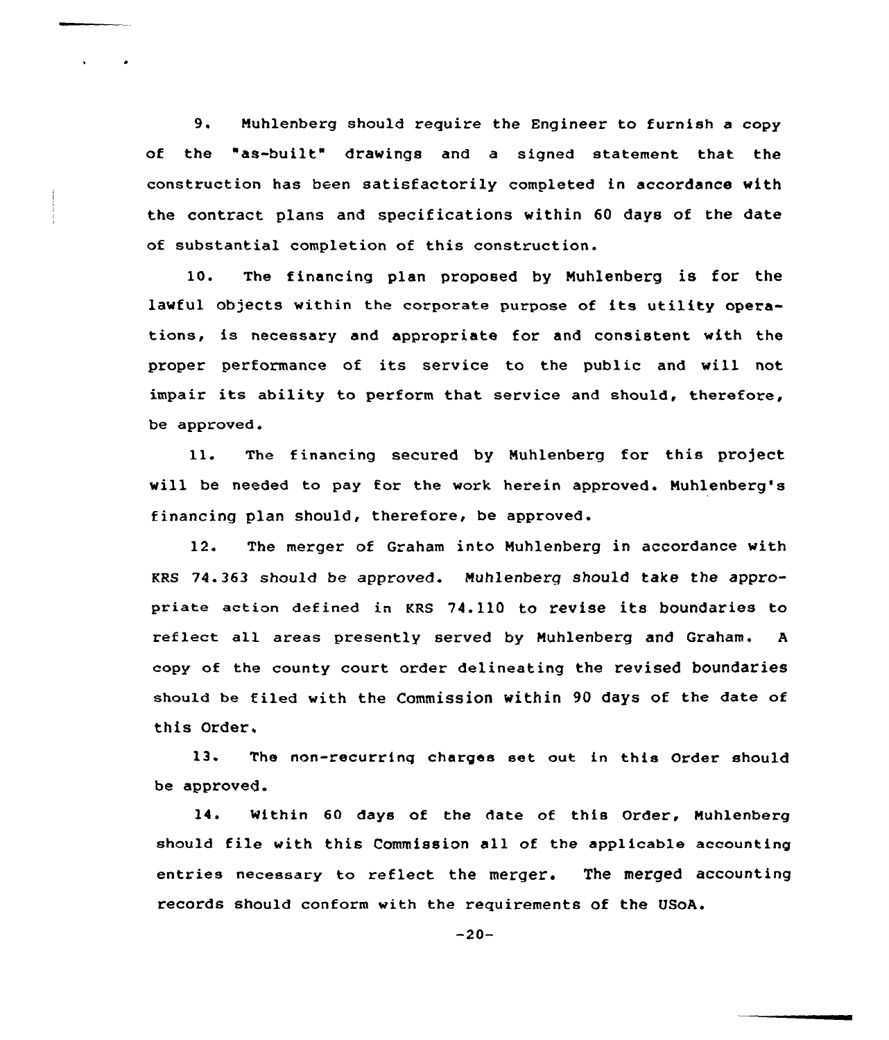9. Muhlenberg should require the Engineer to furnish <sup>a</sup> copy of the "as-built" drawings and a signed statement that the construction has been satisfactorily completed in accordance with the contract plans and specifications within 60 days of the date of substantial completion of this construction.

10. The financing plan proposed by Muhlenberg is for the lawful objects within the corporate purpose of its utility operations, is necessary and appropriate for and consistent with the proper performance of its service to the public and will not impair its ability to perform that service and should, therefore, be approved.

11. The financing secured by Nuhlenberg for this project will be needed to pay for the work herein approved. Muhlenberg's financing plan should, therefore, be approved.

12. The merger of Graham into Nuhlenberg in accordance with KRS 74.363 should be approved. Nuhlenberg should take the appropriate action defined in KRS 74.110 to revise its boundaries to reflect all areas presently served by Nuhlenberg and Graham. <sup>A</sup> copy of the county court: order delineating the revised boundaries should be filed with the commission within 90 days of the date of this Order,

13. The non-recurring charges set out in this Order should be approved.

14. Within 60 days of the date of this Order, Nuhlenberg should file with this Commission all of the applicable accounting entries necessary to reflect the merger. The merged accounting records should conform with the requirements of the USoA.

 $-20-$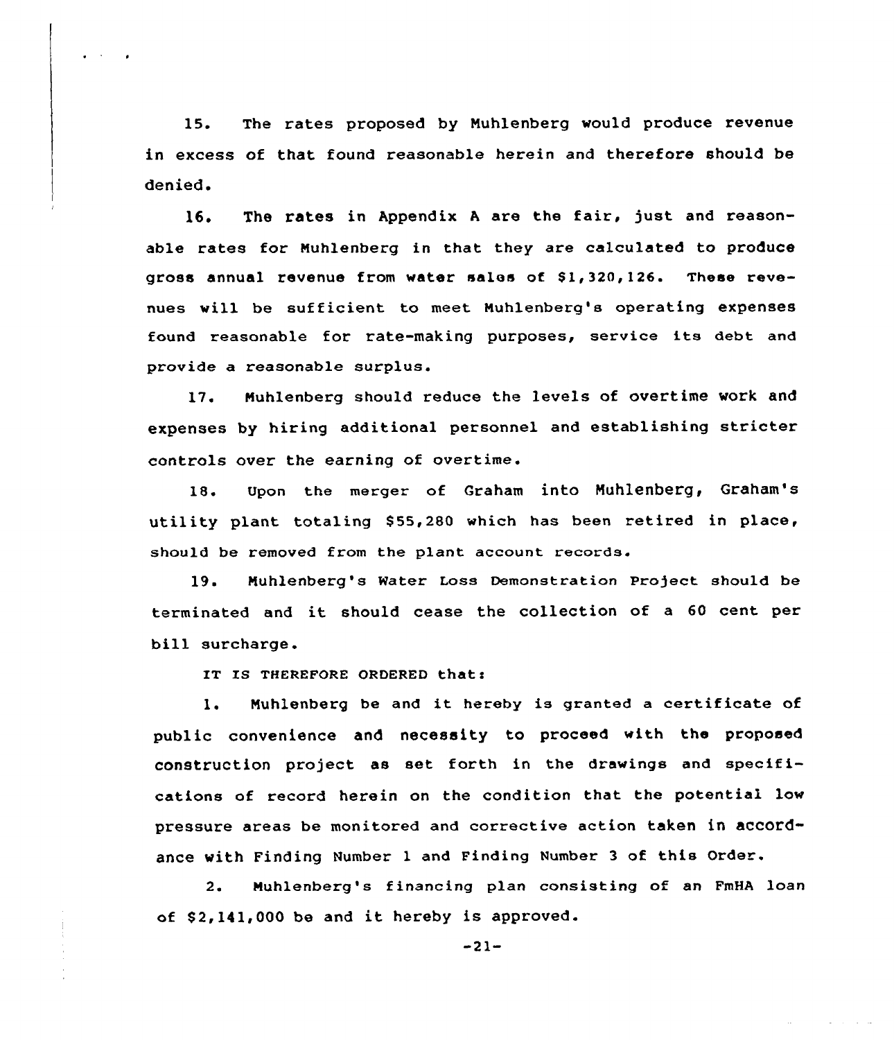15. The rates proposed by Nuhlenberg would produce revenue in excess of that found reasonable herein and therefore should be denied.

16. The rates in Appendix A are the fair, just and reasonable rates for Nuhlenberg in that they are calculated to produce gross annual revenue from water sales of 51, 320, 126. These revenues will be sufficient to meet Nuhlenberg's operating expenses found reasonable for rate-making purposes, service its debt and provide a reasonable surplus.

17. Nuhlenberg should reduce the levels of overtime work and expenses by hiring additional personnel and establishing stricter controls over the earning of overtime.

18. Upon the merger of Graham into Nuhlenberg, Graham's utility plant totaling 855,280 which has been retired in place, should be removed from the plant account records.

19. Muhlenberg's Water Loss Demonstration Project should be terminated and it should cease the collection of <sup>a</sup> <sup>60</sup> cent per bill surcharge.

IT IS THEREFORE ORDERED that:

1. Nuhlenberg be and it hereby is granted <sup>a</sup> certificate of public convenience and necessity to proceed with the proposed construction project as set forth in the drawings and specifications of record herein on the condition that the potential low pressure areas be monitored and corrective action taken in accordance with Finding Number <sup>1</sup> and Finding Number <sup>3</sup> of this Order.

2. Nuhlenberg's financing plan consisting of an FmHA loan of \$2,141,000 be and it hereby is approved.

-21-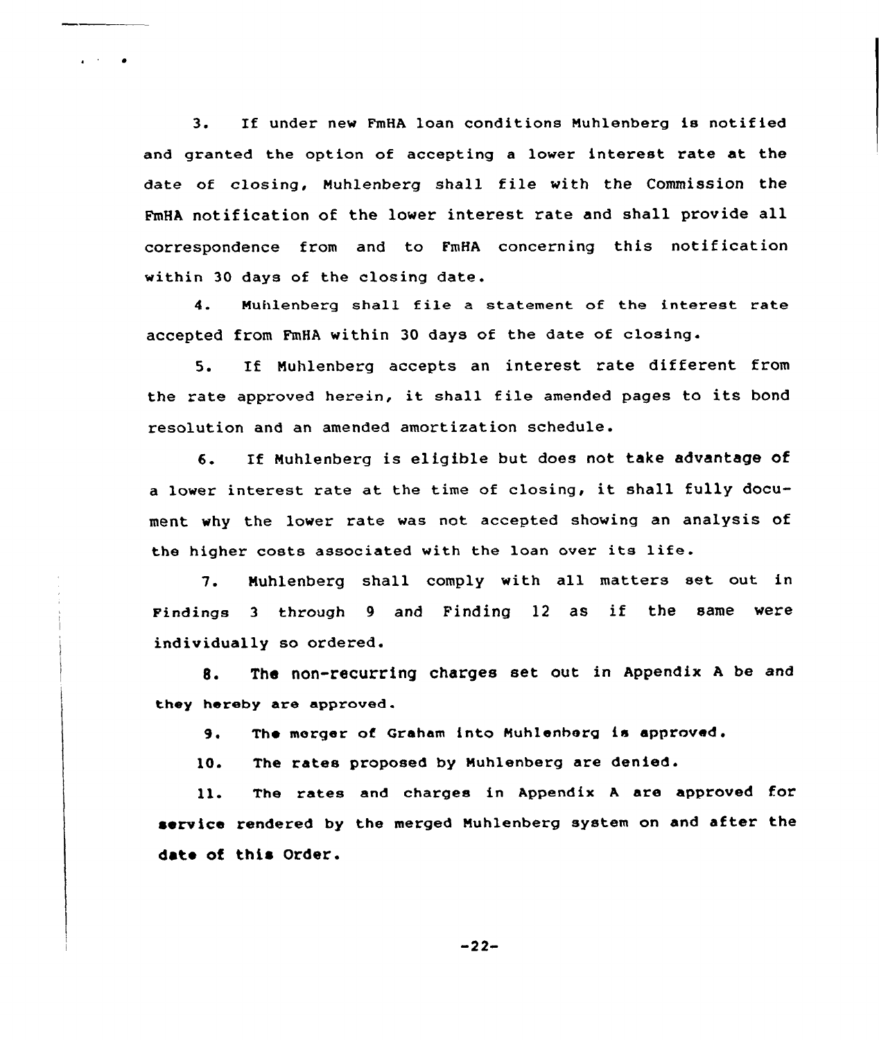3. If under new FmHA loan conditians Muhlenberg is notified and granted the option of accepting a lower interest rate at the date af closing, Muhlenberg shall file with the Commission the FmHA notification of the lower interest rate and shall provide all correspondence from and to FmHA concerning this notification within 30 days of the closing date.

 $\mathbf{r} = \mathbf{r} \times \mathbf{r}$  . We set

4. Muhlenberg shall file <sup>a</sup> statement of the interest rate accepted from FmHA within 30 days of the date of closing.

5. If Nuhlenberg accepts an interest rate different from the rate approved herein, it shall file amended pages to its bond resolution and an amended amortization schedule.

6. If Nuhlenberg is eligible but does not take advantage of <sup>a</sup> lower interest rate at the time of closing, it shall fully document why the lower rate was not accepted showing an analysis of the higher costs associated with the loan over its life.

7. Muhlenberg shall comply with all matters set out. in Findings <sup>3</sup> through <sup>9</sup> and Finding <sup>12</sup> as if the same were individually so ordered.

8. The non-recurring charges set out in Appendix <sup>A</sup> be and they hereby are approved.

The merger af Graham into Muhlenherg is approved.  $9.$ 

The rates proposed by Muhlenberg are denied.  $10.$ 

ll. The rates and charges in Appendix <sup>A</sup> are appraved for service rendered by the merged Muhlenberg system on and after the date of this Order.

-22-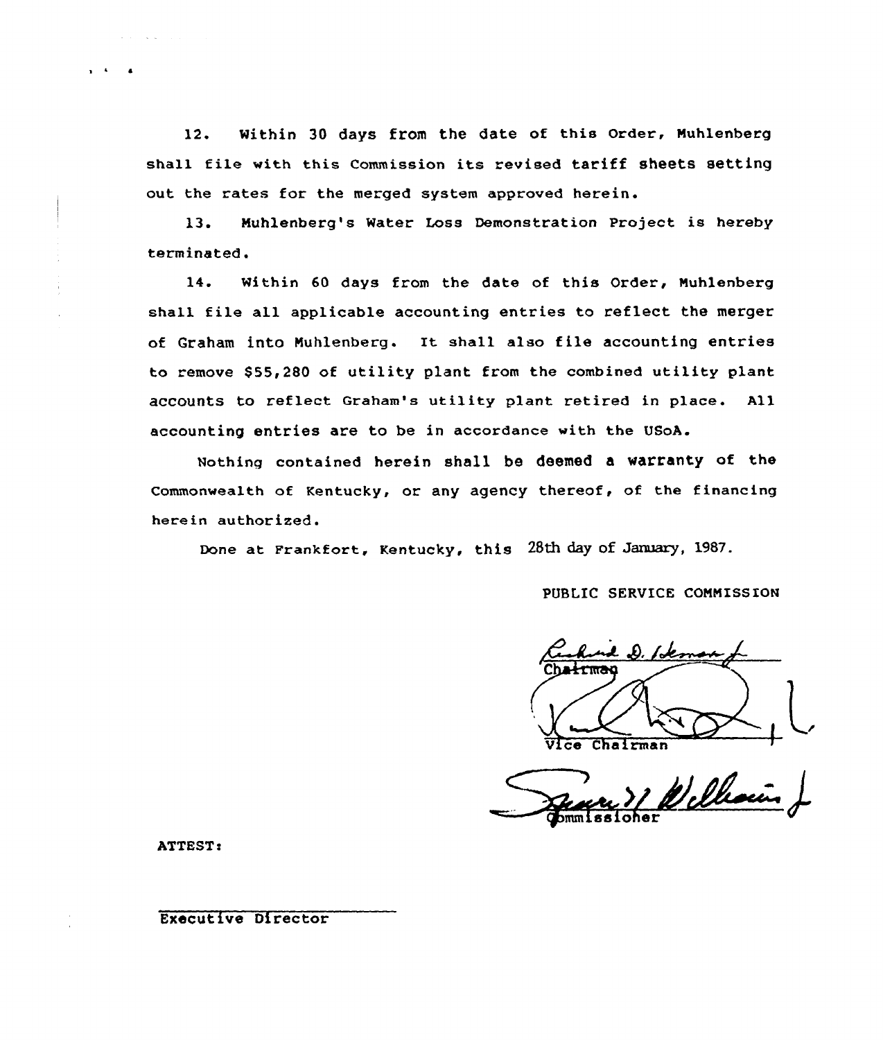12. Within 30 days from the date of this Order, Nuhlenberg shall file with this Commission its revised tariff sheets setting out the rates for the merged system approved herein.

13. Nuhlenberg's Water Loss Demonstration Project is hereby terminated.

14. Within 60 days from the date of this Order, Nuhlenberg shall file all applicable accounting entries to reflect the merger of Graham into Nuhlenberg. It shall also file accounting entries to remove \$55,280 of utility plant from the combined utility plant accounts to reflect Graham's utility plant retired in place. All accounting entries are to be in accordance with the USoA.

Nothing contained herein shall be deemed a warranty of the Commonwealth of Kentucky, or any agency thereof, of the financing herein authorized.

Done at Frankfort, Kentucky, this 28th day of January, 1987.

PUBLIC SERVICE COMMISSION

Chałrman Vi ce Chairman

n 71 William

ATTEST:

Executive Director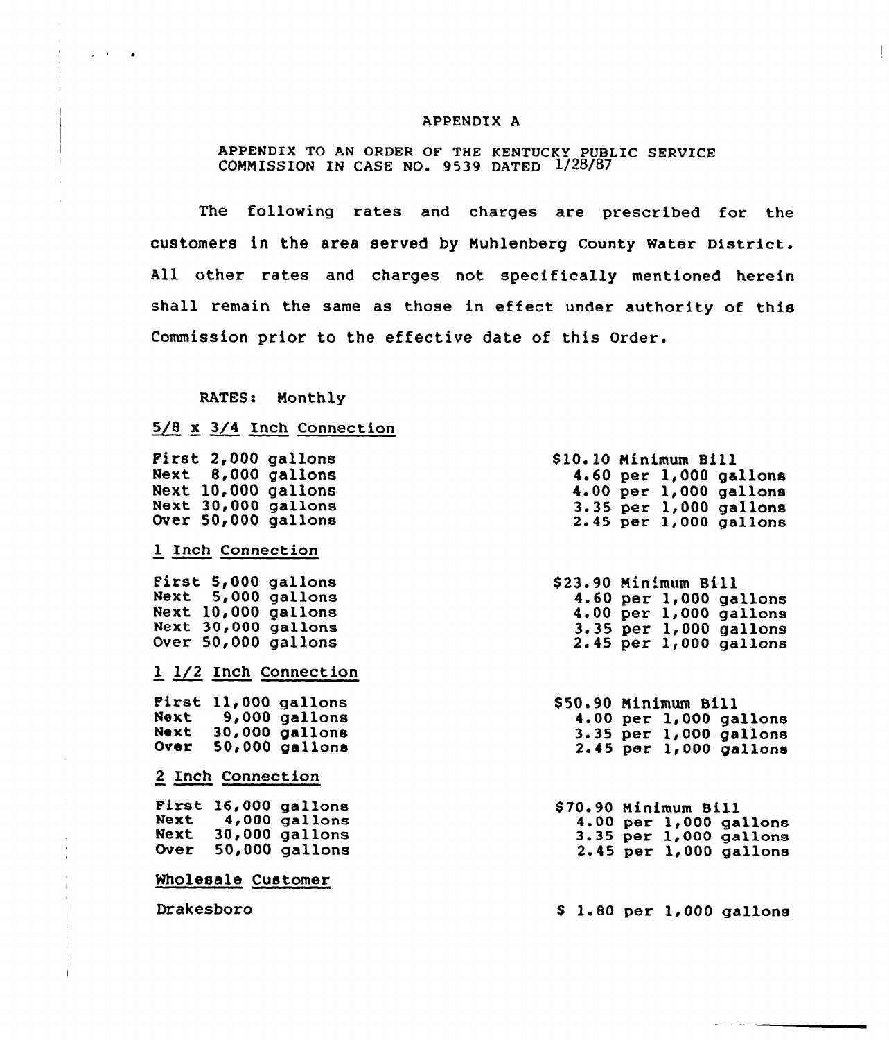### APPENDIX A

# APPENDIX TO AN ORDER OF THE KENTUCKY PUBLIC SERVICE COMMISSION IN CASE NO. 9539 DATED 1/28/87

The following rates and charges are prescribed for the customers in the area served by Muhlenberg county water District. All other rates and charges not specifically mentioned herein shall remain the same as those in effect under authority of this Commission prior to the effective date of this Order.

### RATES: Monthly

# $5/8$  x  $3/4$  Inch Connection

|  | First 2,000 gallons |  |
|--|---------------------|--|
|  | Next 8,000 gallons  |  |
|  | Next 10,000 gallons |  |
|  | Next 30,000 gallons |  |
|  | Over 50,000 gallons |  |
|  |                     |  |

# 1 Inch Connection

 $\mathcal{L} = \mathcal{L} \times \mathcal{L}$  .  $\mathcal{L} = \mathcal{L}$ 

First 5,000 gallons Next 5,000 gallons Next 10,000 gallons Next 30,000 gallons Over 50,000 gallons

# 1 1/2 Inch Connection

First 11,000 gallons Next 9,000 gallons<br>Next 30,000 gallons 30,000 gallons Over 50,000 gallons

# 2 Inch Connection

First 16,000 gallons Next 4,000 gallons<br>Next 30,000 gallons 30,000 gallons Over 50,000 gallons

# Wholesale Customer

Drakesboro

\$10.10 Minimum Bill 0.10 Minimum Bill<br>4.60 per 1,000 gallon<br>4.00 per 1,000 sallon 4.00 per 1,000 gallons 4.00<br>3.35<br>2.45 per 1,000 gallon per 1,000 gallon

\$ 23.90 Min'mum Bill 4.60 per 1,000 gallon<br>4.00 per 1,000 gallon<br>3.35 per 1,000 gallon 2.45 per 1,000 gallon 4.60 per 1,000 gallons 4.00 per 1,000 gallons

\$50.90 Minimum Bill<br>4.00 per 1,000 gallons  $3.35$  per  $1,000$  gallons  $2.45$  per  $1,000$  gallons

\$ 70.90 Minimum Bill 4.00 per 1,000 gallons 3.35 per 1,000 gallons 2.<sup>45</sup> per 1,<sup>000</sup> gallons

\$ l. <sup>80</sup> per 1,<sup>000</sup> gallons